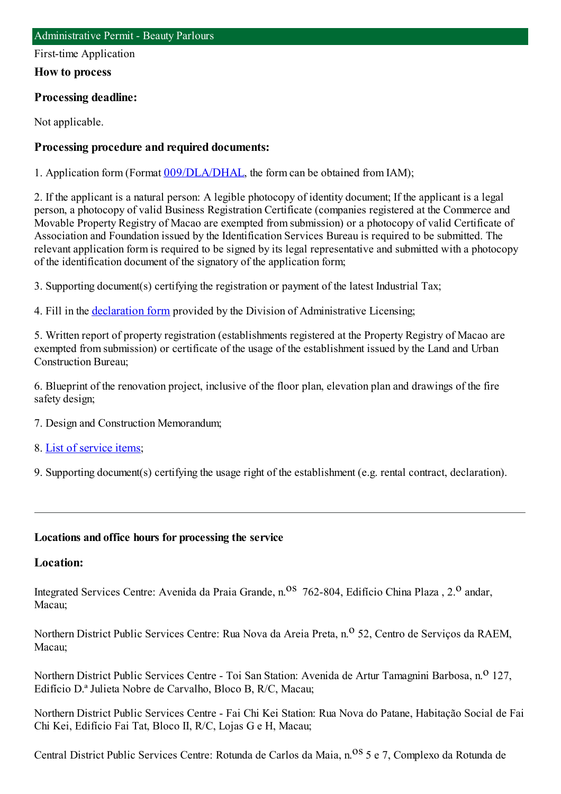First-time Application

**How to process**

### **Processing deadline:**

Not applicable.

## **Processing procedure and required documents:**

1. Application form(Format [009/DLA/DHAL](https://www.iam.gov.mo/c/pdf/eformDetail/PDF363), the formcan be obtained fromIAM);

2. If the applicant is a natural person: A legible photocopy of identity document; If the applicant is a legal person, a photocopy of valid Business Registration Certificate (companies registered at the Commerce and Movable Property Registry of Macao are exempted fromsubmission) or a photocopy of valid Certificate of Association and Foundation issued by the Identification Services Bureau is required to be submitted. The relevant application formis required to be signed by its legal representative and submitted with a photocopy of the identification document of the signatory of the application form;

3. Supporting document(s) certifying the registration or payment of the latest Industrial Tax;

4. Fill in the [declaration](https://www.iam.gov.mo/c/pdf/eformDetail/PDF364) form provided by the Division of Administrative Licensing;

5. Written report of property registration (establishments registered at the Property Registry of Macao are exempted fromsubmission) or certificate of the usage of the establishment issued by the Land and Urban Construction Bureau;

6. Blueprint of the renovation project, inclusive of the floor plan, elevation plan and drawings of the fire safety design;

- 7. Design and Construction Memorandum;
- 8. List of [service](https://www.iam.gov.mo/c/pdf/eformDetail/PDF1019) items;

9. Supporting document(s) certifying the usage right of the establishment (e.g. rental contract, declaration).

## **Locations and office hours for processing the service**

### **Location:**

Integrated Services Centre: Avenida da Praia Grande, n.<sup>08</sup> 762-804, Edifício China Plaza, 2.<sup>0</sup> andar, Macau;

Northern District Public Services Centre: Rua Nova da Areia Preta, n.º 52, Centro de Serviços da RAEM, Macau;

Northern District Public Services Centre - Toi San Station: Avenida de Artur Tamagnini Barbosa, n.<sup>0</sup> 127, Edifício D.ª Julieta Nobre de Carvalho, Bloco B, R/C, Macau;

Northern District Public Services Centre - Fai Chi Kei Station: Rua Nova do Patane, Habitação Social de Fai Chi Kei, Edifício Fai Tat, Bloco II, R/C, Lojas G e H, Macau;

Central District Public Services Centre: Rotunda de Carlos da Maia, n.<sup>0S</sup> 5 e 7, Complexo da Rotunda de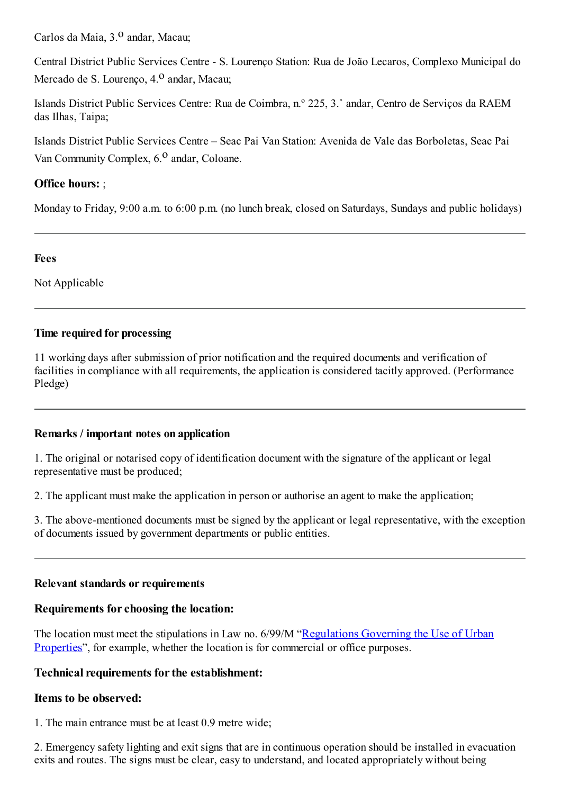Carlos da Maia, 3.<sup>0</sup> andar, Macau;

Central District Public Services Centre - S. Lourenço Station: Rua de João Lecaros, Complexo Municipal do Mercado de S. Lourenco, 4.<sup>0</sup> andar, Macau;

Islands District Public Services Centre: Rua de Coimbra, n.º 225, 3.˚ andar, Centro de Serviços da RAEM das Ilhas, Taipa;

Islands District Public Services Centre – Seac Pai Van Station: Avenida de Vale das Borboletas, Seac Pai Van Community Complex,  $6<sup>0</sup>$  andar, Coloane.

## **Office hours:** ;

Monday to Friday, 9:00 a.m. to 6:00 p.m. (no lunch break, closed on Saturdays, Sundays and public holidays)

#### **Fees**

Not Applicable

### **Time required for processing**

11 working days after submission of prior notification and the required documents and verification of facilities in compliance with all requirements, the application is considered tacitly approved. (Performance Pledge)

### **Remarks / important notes on application**

1. The original or notarised copy of identification document with the signature of the applicant or legal representative must be produced;

2. The applicant must make the application in person or authorise an agent to make the application;

3. The above-mentioned documents must be signed by the applicant or legal representative, with the exception of documents issued by government departments or public entities.

### **Relevant standards or requirements**

### **Requirements forchoosing the location:**

The location must meet the stipulations in Law no. 6/99/M "[Regulations](http://bo.io.gov.mo/bo/i/99/50/lei06_cn.asp) Governing the Use of Urban Properties", for example, whether the location is for commercial or office purposes.

### **Technical requirements for the establishment:**

### **Items to be observed:**

1. The main entrance must be at least 0.9 metre wide;

2. Emergency safety lighting and exit signs that are in continuous operation should be installed in evacuation exits and routes. The signs must be clear, easy to understand, and located appropriately without being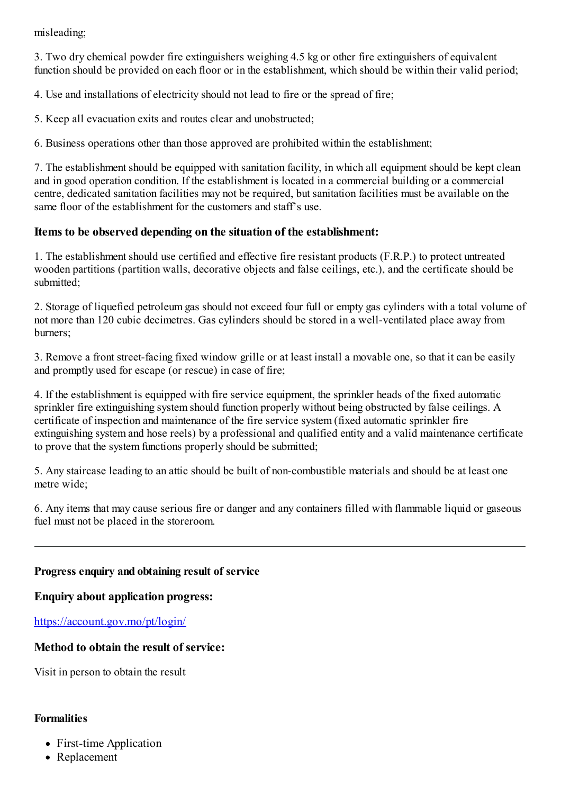misleading;

3. Two dry chemical powder fire extinguishers weighing 4.5 kg or other fire extinguishers of equivalent function should be provided on each floor or in the establishment, which should be within their valid period;

4. Use and installations of electricity should not lead to fire or the spread of fire;

5. Keep all evacuation exits and routes clear and unobstructed;

6. Business operations other than those approved are prohibited within the establishment;

7. The establishment should be equipped with sanitation facility, in which all equipment should be kept clean and in good operation condition. If the establishment is located in a commercial building or a commercial centre, dedicated sanitation facilities may not be required, but sanitation facilities must be available on the same floor of the establishment for the customers and staff's use.

## **Items to be observed depending on the situation of the establishment:**

1. The establishment should use certified and effective fire resistant products (F.R.P.) to protect untreated wooden partitions (partition walls, decorative objects and false ceilings, etc.), and the certificate should be submitted;

2. Storage of liquefied petroleumgas should not exceed four full or empty gas cylinders with a total volume of not more than 120 cubic decimetres. Gas cylinders should be stored in a well-ventilated place away from burners;

3. Remove a front street-facing fixed window grille or at least install a movable one, so that it can be easily and promptly used for escape (or rescue) in case of fire;

4. If the establishment is equipped with fire service equipment, the sprinkler heads of the fixed automatic sprinkler fire extinguishing systemshould function properly without being obstructed by false ceilings. A certificate of inspection and maintenance of the fire service system(fixed automatic sprinkler fire extinguishing systemand hose reels) by a professional and qualified entity and a valid maintenance certificate to prove that the system functions properly should be submitted;

5. Any staircase leading to an attic should be built of non-combustible materials and should be at least one metre wide;

6. Any items that may cause serious fire or danger and any containers filled with flammable liquid or gaseous fuel must not be placed in the storeroom.

### **Progress enquiry and obtaining result of service**

**Enquiry about application progress:**

<https://account.gov.mo/pt/login/>

## **Method to obtain the result of service:**

Visit in person to obtain the result

### **Formalities**

- First-time Application
- Replacement